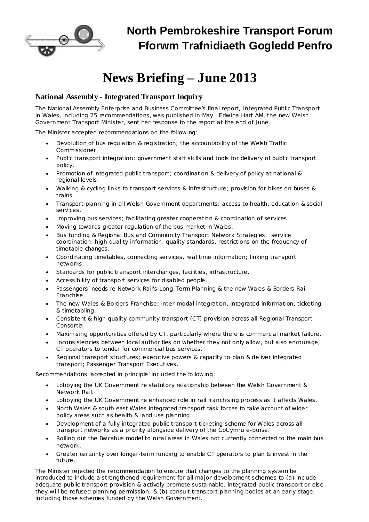

# **News Briefing – June 2013**

## **National Assembly - Integrated Transport Inquiry**

The National Assembly Enterprise and Business Committee's final report, Integrated Public Transport in Wales, including 25 recommendations, was published in May. Edwina Hart AM, the new Welsh Government Transport Minister, sent her response to the report at the end of June.

The Minister accepted recommendations on the following:

- · Devolution of bus regulation & registration; the accountability of the Welsh Traffic Commissioner.
- Public transport integration; government staff skills and tools for delivery of public transport policy.
- · Promotion of integrated public transport; coordination & delivery of policy at national & regional levels.
- · Walking & cycling links to transport services & infrastructure; provision for bikes on buses & trains.
- · Transport planning in all Welsh Government departments; access to health, education & social services.
- · Improving bus services; facilitating greater cooperation & coordination of services.
- · Moving towards greater regulation of the bus market in Wales.
- · Bus funding & Regional Bus and Community Transport Network Strategies; service coordination, high quality information, quality standards, restrictions on the frequency of timetable changes.
- · Coordinating timetables, connecting services, real time information; linking transport networks.
- Standards for public transport interchanges, facilities, infrastructure.
- Accessibility of transport services for disabled people.
- Passengers' needs re Network Rail's Long-Term Planning & the new Wales & Borders Rail Franchise.
- · The new Wales & Borders Franchise; inter-modal integration, integrated information, ticketing & timetabling.
- · Consistent & high quality community transport (CT) provision across all Regional Transport Consortia.
- · Maximising opportunities offered by CT, particularly where there is commercial market failure.
- · Inconsistencies between local authorities on whether they not only allow, but also encourage, CT operators to tender for commercial bus services.
- · Regional transport structures; executive powers & capacity to plan & deliver integrated transport; Passenger Transport Executives.

Recommendations 'accepted in principle' included the following:

- · Lobbying the UK Government re statutory relationship between the Welsh Government & Network Rail.
- Lobbying the UK Government re enhanced role in rail franchising process as it affects Wales.
- · North Wales & south east Wales integrated transport task forces to take account of wider policy areas such as health & land use planning.
- · Development of a fully integrated public transport ticketing scheme for Wales across all transport networks as a priority alongside delivery of the GoCymru e-purse.
- Rolling out the Bwcabus model to rural areas in Wales not currently connected to the main bus network.
- Greater certainty over longer-term funding to enable CT operators to plan & invest in the future.

The Minister rejected the recommendation to ensure that changes to the planning system be introduced to include a strengthened requirement for all major development schemes to (a) include adequate public transport provision & actively promote sustainable, integrated public transport or else they will be refused planning permission; & (b) consult transport planning bodies at an early stage, including those schemes funded by the Welsh Government.